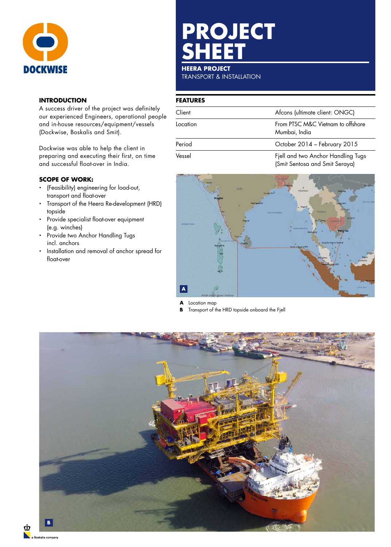

## **INTRODUCTION**

A success driver of the project was definitely our experienced Engineers, operational people and in-house resources/equipment/vessels (Dockwise, Boskalis and Smit).

Dockwise was able to help the client in preparing and executing their first, on time and successful float-over in India.

## **SCOPE OF WORK:**

- (Feasibility) engineering for load-out, transport and float-over
- Transport of the Heera Re-development (HRD) topside
- Provide specialist float-over equipment (e.g. winches)
- Provide two Anchor Handling Tugs incl. anchors
- Installation and removal of anchor spread for float-over

# **PROJECT SHEET**

### **HEERA PROJECT**

TRANSPORT & INSTALLATION

#### **FEATURES**

| Client   | Afcons (ultimate client: ONGC)                                       |  |
|----------|----------------------------------------------------------------------|--|
| Location | From PTSC M&C Vietnam to offshore<br>Mumbai, India                   |  |
| Period   | October 2014 - February 2015                                         |  |
| Vessel   | Fjell and two Anchor Handling Tugs<br>(Smit Sentosa and Smit Seraya) |  |



**A** Location map

**B** Transport of the HRD topside onboard the Fjell



<u>לו</u>